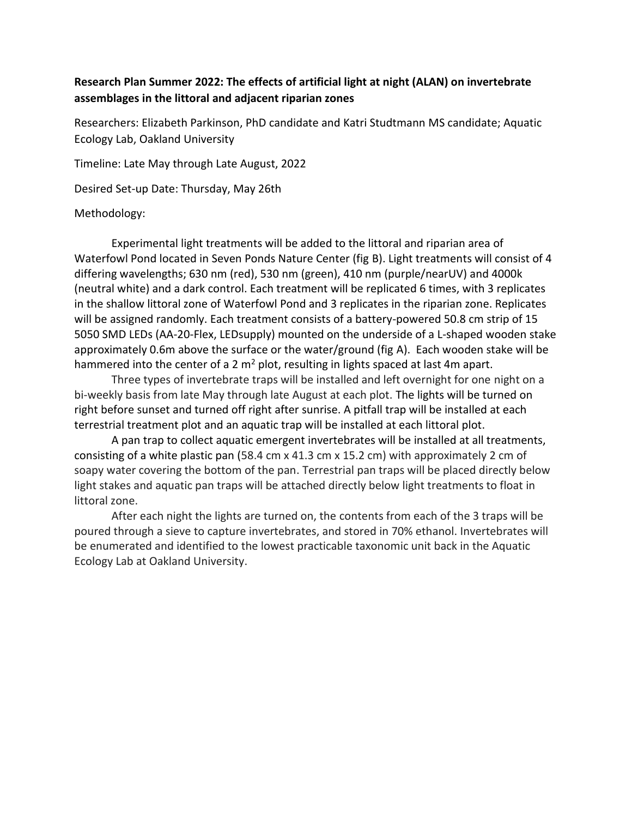## **Research Plan Summer 2022: The effects of artificial light at night (ALAN) on invertebrate assemblages in the littoral and adjacent riparian zones**

Researchers: Elizabeth Parkinson, PhD candidate and Katri Studtmann MS candidate; Aquatic Ecology Lab, Oakland University

Timeline: Late May through Late August, 2022

Desired Set-up Date: Thursday, May 26th

## Methodology:

Experimental light treatments will be added to the littoral and riparian area of Waterfowl Pond located in Seven Ponds Nature Center (fig B). Light treatments will consist of 4 differing wavelengths; 630 nm (red), 530 nm (green), 410 nm (purple/nearUV) and 4000k (neutral white) and a dark control. Each treatment will be replicated 6 times, with 3 replicates in the shallow littoral zone of Waterfowl Pond and 3 replicates in the riparian zone. Replicates will be assigned randomly. Each treatment consists of a battery-powered 50.8 cm strip of 15 5050 SMD LEDs (AA-20-Flex, LEDsupply) mounted on the underside of a L-shaped wooden stake approximately 0.6m above the surface or the water/ground (fig A). Each wooden stake will be hammered into the center of a 2  $m^2$  plot, resulting in lights spaced at last 4m apart.

Three types of invertebrate traps will be installed and left overnight for one night on a bi-weekly basis from late May through late August at each plot. The lights will be turned on right before sunset and turned off right after sunrise. A pitfall trap will be installed at each terrestrial treatment plot and an aquatic trap will be installed at each littoral plot.

A pan trap to collect aquatic emergent invertebrates will be installed at all treatments, consisting of a white plastic pan (58.4 cm x 41.3 cm x 15.2 cm) with approximately 2 cm of soapy water covering the bottom of the pan. Terrestrial pan traps will be placed directly below light stakes and aquatic pan traps will be attached directly below light treatments to float in littoral zone.

After each night the lights are turned on, the contents from each of the 3 traps will be poured through a sieve to capture invertebrates, and stored in 70% ethanol. Invertebrates will be enumerated and identified to the lowest practicable taxonomic unit back in the Aquatic Ecology Lab at Oakland University.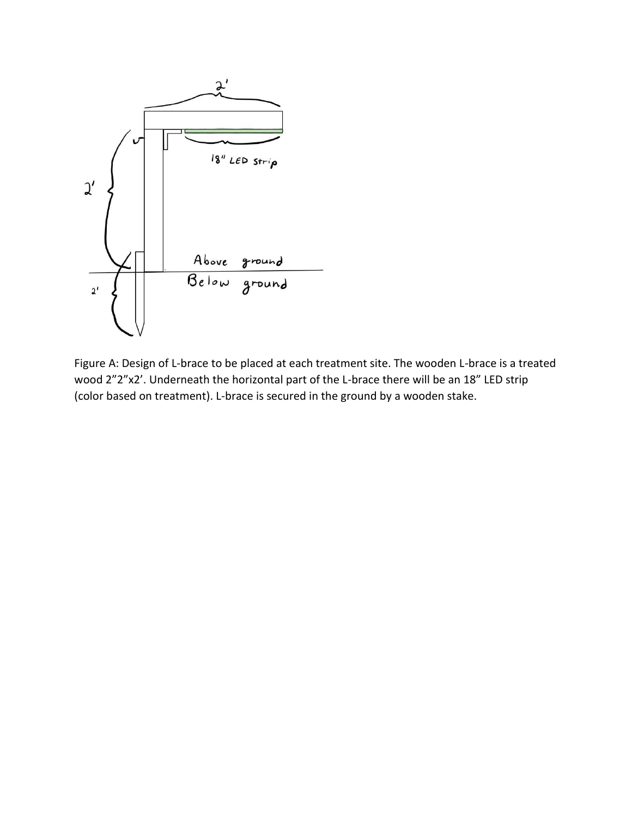

Figure A: Design of L-brace to be placed at each treatment site. The wooden L-brace is a treated wood 2"2"x2'. Underneath the horizontal part of the L-brace there will be an 18" LED strip (color based on treatment). L-brace is secured in the ground by a wooden stake.